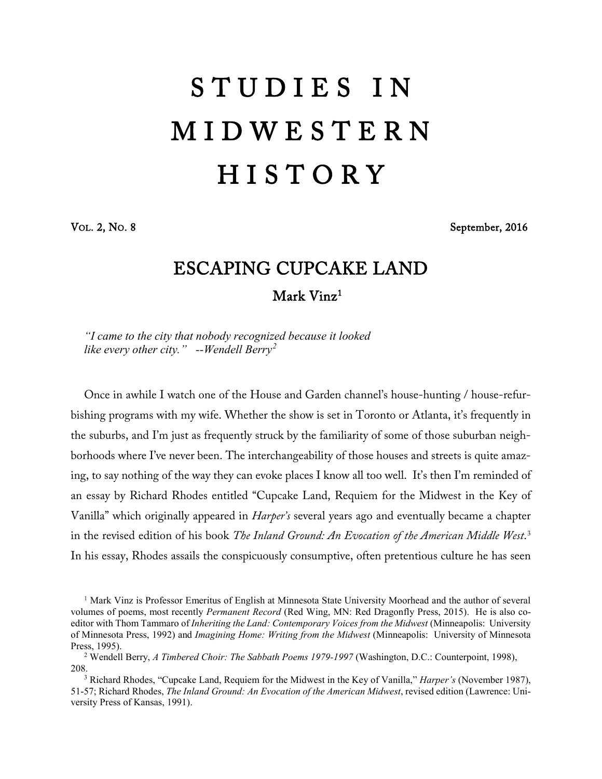## S T U D I E S I N M I D W E S T E R N **HISTORY**

VOL. 2, NO. 8 September, 2016

## ESCAPING CUPCAKE LAND Mark Vinz<sup>[1](#page-0-0)</sup>

*"I came to the city that nobody recognized because it looked like every other city." --Wendell Berry[2](#page-0-1)*

Once in awhile I watch one of the House and Garden channel's house-hunting / house-refurbishing programs with my wife. Whether the show is set in Toronto or Atlanta, it's frequently in the suburbs, and I'm just as frequently struck by the familiarity of some of those suburban neighborhoods where I've never been. The interchangeability of those houses and streets is quite amazing, to say nothing of the way they can evoke places I know all too well. It's then I'm reminded of an essay by Richard Rhodes entitled "Cupcake Land, Requiem for the Midwest in the Key of Vanilla" which originally appeared in *Harper's* several years ago and eventually became a chapter in the revised edition of his book *The Inland Ground: An Evocation of the American Middle West*. [3](#page-0-2) In his essay, Rhodes assails the conspicuously consumptive, often pretentious culture he has seen

<span id="page-0-0"></span><sup>1</sup> Mark Vinz is Professor Emeritus of English at Minnesota State University Moorhead and the author of several volumes of poems, most recently *Permanent Record* (Red Wing, MN: Red Dragonfly Press, 2015). He is also coeditor with Thom Tammaro of *Inheriting the Land: Contemporary Voices from the Midwest* (Minneapolis: University of Minnesota Press, 1992) and *Imagining Home: Writing from the Midwest* (Minneapolis: University of Minnesota Press, 1995).

<span id="page-0-1"></span><sup>2</sup> Wendell Berry, *A Timbered Choir: The Sabbath Poems 1979-1997* (Washington, D.C.: Counterpoint, 1998),

<span id="page-0-2"></span>208.3 Richard Rhodes, "Cupcake Land, Requiem for the Midwest in the Key of Vanilla," *Harper's* (November 1987), 51-57; Richard Rhodes, *The Inland Ground: An Evocation of the American Midwest*, revised edition (Lawrence: University Press of Kansas, 1991).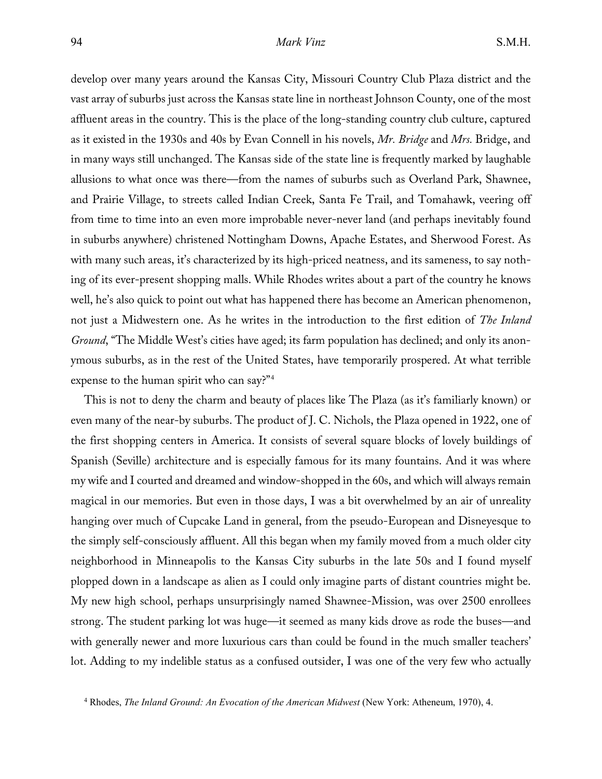develop over many years around the Kansas City, Missouri Country Club Plaza district and the vast array of suburbs just across the Kansas state line in northeast Johnson County, one of the most affluent areas in the country. This is the place of the long-standing country club culture, captured as it existed in the 1930s and 40s by Evan Connell in his novels, *Mr. Bridge* and *Mrs.* Bridge, and in many ways still unchanged. The Kansas side of the state line is frequently marked by laughable allusions to what once was there—from the names of suburbs such as Overland Park, Shawnee, and Prairie Village, to streets called Indian Creek, Santa Fe Trail, and Tomahawk, veering off from time to time into an even more improbable never-never land (and perhaps inevitably found in suburbs anywhere) christened Nottingham Downs, Apache Estates, and Sherwood Forest. As with many such areas, it's characterized by its high-priced neatness, and its sameness, to say nothing of its ever-present shopping malls. While Rhodes writes about a part of the country he knows well, he's also quick to point out what has happened there has become an American phenomenon, not just a Midwestern one. As he writes in the introduction to the first edition of *The Inland Ground*, "The Middle West's cities have aged; its farm population has declined; and only its anonymous suburbs, as in the rest of the United States, have temporarily prospered. At what terrible expense to the human spirit who can say?["4](#page-1-0)

This is not to deny the charm and beauty of places like The Plaza (as it's familiarly known) or even many of the near-by suburbs. The product of J. C. Nichols, the Plaza opened in 1922, one of the first shopping centers in America. It consists of several square blocks of lovely buildings of Spanish (Seville) architecture and is especially famous for its many fountains. And it was where my wife and I courted and dreamed and window-shopped in the 60s, and which will always remain magical in our memories. But even in those days, I was a bit overwhelmed by an air of unreality hanging over much of Cupcake Land in general, from the pseudo-European and Disneyesque to the simply self-consciously affluent. All this began when my family moved from a much older city neighborhood in Minneapolis to the Kansas City suburbs in the late 50s and I found myself plopped down in a landscape as alien as I could only imagine parts of distant countries might be. My new high school, perhaps unsurprisingly named Shawnee-Mission, was over 2500 enrollees strong. The student parking lot was huge—it seemed as many kids drove as rode the buses—and with generally newer and more luxurious cars than could be found in the much smaller teachers' lot. Adding to my indelible status as a confused outsider, I was one of the very few who actually

<span id="page-1-0"></span><sup>4</sup> Rhodes, *The Inland Ground: An Evocation of the American Midwest* (New York: Atheneum, 1970), 4.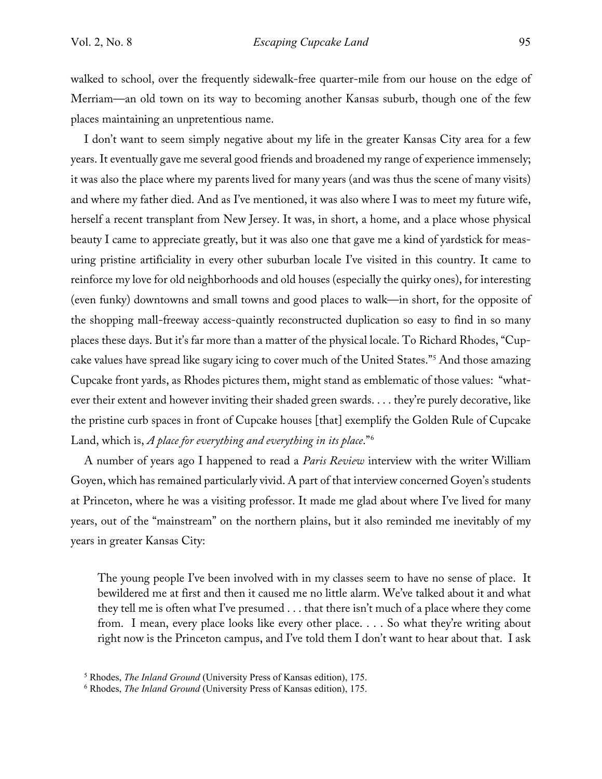walked to school, over the frequently sidewalk-free quarter-mile from our house on the edge of Merriam—an old town on its way to becoming another Kansas suburb, though one of the few places maintaining an unpretentious name.

I don't want to seem simply negative about my life in the greater Kansas City area for a few years. It eventually gave me several good friends and broadened my range of experience immensely; it was also the place where my parents lived for many years (and was thus the scene of many visits) and where my father died. And as I've mentioned, it was also where I was to meet my future wife, herself a recent transplant from New Jersey. It was, in short, a home, and a place whose physical beauty I came to appreciate greatly, but it was also one that gave me a kind of yardstick for measuring pristine artificiality in every other suburban locale I've visited in this country. It came to reinforce my love for old neighborhoods and old houses (especially the quirky ones), for interesting (even funky) downtowns and small towns and good places to walk—in short, for the opposite of the shopping mall-freeway access-quaintly reconstructed duplication so easy to find in so many places these days. But it's far more than a matter of the physical locale. To Richard Rhodes, "Cupcake values have spread like sugary icing to cover much of the United States."[5](#page-2-0) And those amazing Cupcake front yards, as Rhodes pictures them, might stand as emblematic of those values: "whatever their extent and however inviting their shaded green swards. . . . they're purely decorative, like the pristine curb spaces in front of Cupcake houses [that] exemplify the Golden Rule of Cupcake Land, which is, *A place for everything and everything in its place*."[6](#page-2-1)

A number of years ago I happened to read a *Paris Review* interview with the writer William Goyen, which has remained particularly vivid. A part of that interview concerned Goyen's students at Princeton, where he was a visiting professor. It made me glad about where I've lived for many years, out of the "mainstream" on the northern plains, but it also reminded me inevitably of my years in greater Kansas City:

The young people I've been involved with in my classes seem to have no sense of place. It bewildered me at first and then it caused me no little alarm. We've talked about it and what they tell me is often what I've presumed . . . that there isn't much of a place where they come from. I mean, every place looks like every other place. . . . So what they're writing about right now is the Princeton campus, and I've told them I don't want to hear about that. I ask

<span id="page-2-0"></span><sup>5</sup> Rhodes, *The Inland Ground* (University Press of Kansas edition), 175.

<span id="page-2-1"></span><sup>6</sup> Rhodes, *The Inland Ground* (University Press of Kansas edition), 175.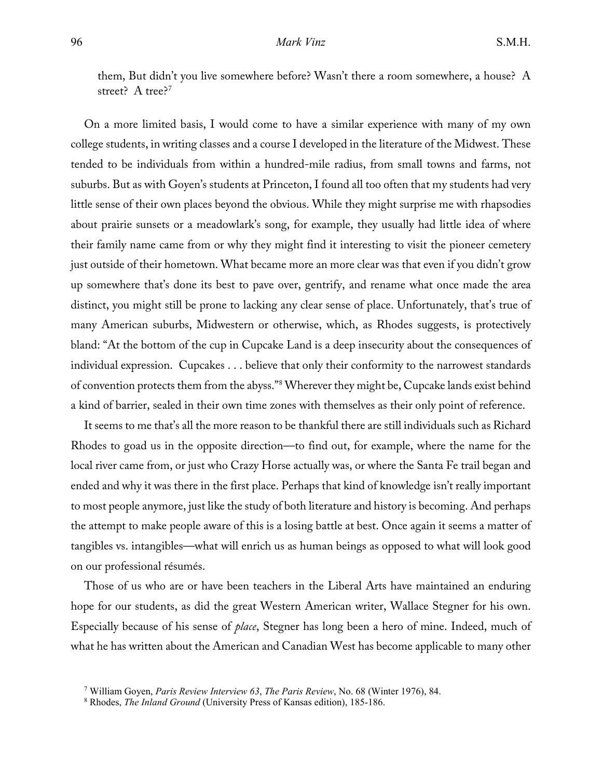them, But didn't you live somewhere before? Wasn't there a room somewhere, a house? A street? A tree?<sup>[7](#page-3-0)</sup>

On a more limited basis, I would come to have a similar experience with many of my own college students, in writing classes and a course I developed in the literature of the Midwest. These tended to be individuals from within a hundred-mile radius, from small towns and farms, not suburbs. But as with Goyen's students at Princeton, I found all too often that my students had very little sense of their own places beyond the obvious. While they might surprise me with rhapsodies about prairie sunsets or a meadowlark's song, for example, they usually had little idea of where their family name came from or why they might find it interesting to visit the pioneer cemetery just outside of their hometown. What became more an more clear was that even if you didn't grow up somewhere that's done its best to pave over, gentrify, and rename what once made the area distinct, you might still be prone to lacking any clear sense of place. Unfortunately, that's true of many American suburbs, Midwestern or otherwise, which, as Rhodes suggests, is protectively bland: "At the bottom of the cup in Cupcake Land is a deep insecurity about the consequences of individual expression. Cupcakes . . . believe that only their conformity to the narrowest standards of convention protects them from the abyss."[8](#page-3-1) Wherever they might be, Cupcake lands exist behind a kind of barrier, sealed in their own time zones with themselves as their only point of reference.

It seems to me that's all the more reason to be thankful there are still individuals such as Richard Rhodes to goad us in the opposite direction—to find out, for example, where the name for the local river came from, or just who Crazy Horse actually was, or where the Santa Fe trail began and ended and why it was there in the first place. Perhaps that kind of knowledge isn't really important to most people anymore, just like the study of both literature and history is becoming. And perhaps the attempt to make people aware of this is a losing battle at best. Once again it seems a matter of tangibles vs. intangibles—what will enrich us as human beings as opposed to what will look good on our professional résumés.

Those of us who are or have been teachers in the Liberal Arts have maintained an enduring hope for our students, as did the great Western American writer, Wallace Stegner for his own. Especially because of his sense of *place*, Stegner has long been a hero of mine. Indeed, much of what he has written about the American and Canadian West has become applicable to many other

<span id="page-3-0"></span><sup>7</sup> William Goyen, *Paris Review Interview 63*, *The Paris Review*, No. 68 (Winter 1976), 84. 8 Rhodes, *The Inland Ground* (University Press of Kansas edition), 185-186.

<span id="page-3-1"></span>